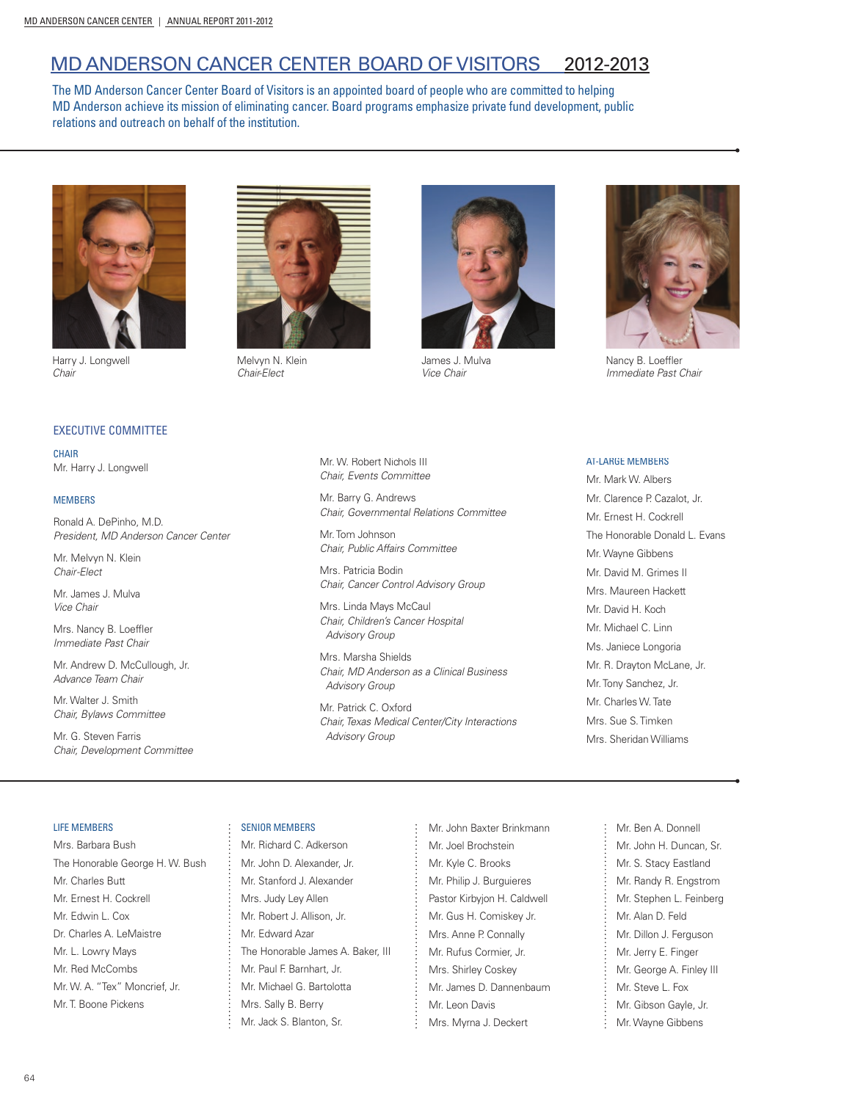# MD ANDERSON CANCER CENTER BOARD OF VISITORS 2012-2013

The MD Anderson Cancer Center Board of Visitors is an appointed board of people who are committed to helping MD Anderson achieve its mission of eliminating cancer. Board programs emphasize private fund development, public relations and outreach on behalf of the institution.



Harry J. Longwell *Chair*

# Melvyn N. Klein

*Chair-Elect*



James J. Mulva *Vice Chair*



Nancy B. Loeffler *Immediate Past Chair*

# EXECUTIVE COMMITTEE

**CHAIR** Mr. Harry J. Longwell

### **MEMBERS**

Ronald A. DePinho, M.D. *President, MD Anderson Cancer Center*

Mr. Melvyn N. Klein *Chair-Elect*

Mr. James J. Mulva *Vice Chair*

Mrs. Nancy B. Loeffler *Immediate Past Chair*

Mr. Andrew D. McCullough, Jr. *Advance Team Chair* 

Mr. Walter J. Smith *Chair, Bylaws Committee*

Mr. G. Steven Farris *Chair, Development Committee* Mr. W. Robert Nichols III *Chair, Events Committee*

Mr. Barry G. Andrews *Chair, Governmental Relations Committee*

Mr. Tom Johnson *Chair, Public Affairs Committee*

Mrs. Patricia Bodin *Chair, Cancer Control Advisory Group* 

Mrs. Linda Mays McCaul *Chair, Children's Cancer Hospital Advisory Group*

Mrs. Marsha Shields *Chair, MD Anderson as a Clinical Business Advisory Group*

Mr. Patrick C. Oxford *Chair, Texas Medical Center/City Interactions Advisory Group*

### **AT-LARGE MEMBERS**

Mr. Mark W. Albers Mr. Clarence P. Cazalot, Jr. Mr. Ernest H. Cockrell The Honorable Donald L. Evans Mr. Wayne Gibbens Mr. David M. Grimes II Mrs. Maureen Hackett Mr. David H. Koch Mr. Michael C. Linn Ms. Janiece Longoria Mr. R. Drayton McLane, Jr. Mr. Tony Sanchez, Jr. Mr. Charles W. Tate Mrs. Sue S. Timken Mrs. Sheridan Williams

### LIFE MEMBERS

Mrs. Barbara Bush The Honorable George H. W. Bush Mr. Charles Butt Mr. Ernest H. Cockrell Mr. Edwin L. Cox Dr. Charles A. LeMaistre Mr. L. Lowry Mays Mr. Red McCombs Mr. W. A. "Tex" Moncrief, Jr. Mr. T. Boone Pickens

# SENIOR MEMBERS

Mr. Richard C. Adkerson Mr. John D. Alexander, Jr. Mr. Stanford J. Alexander Mrs. Judy Ley Allen Mr. Robert J. Allison, Jr. Mr. Edward Azar The Honorable James A. Baker, III Mr. Paul F. Barnhart, Jr. Mr. Michael G. Bartolotta Mrs. Sally B. Berry Mr. Jack S. Blanton, Sr.

Mr. John Baxter Brinkmann Mr. Joel Brochstein Mr. Kyle C. Brooks Mr. Philip J. Burguieres Pastor Kirbyjon H. Caldwell Mr. Gus H. Comiskey Jr. Mrs. Anne P. Connally Mr. Rufus Cormier, Jr. Mrs. Shirley Coskey Mr. James D. Dannenbaum Mr. Leon Davis Mrs. Myrna J. Deckert

Mr. Ben A. Donnell Mr. John H. Duncan, Sr. Mr. S. Stacy Eastland Mr. Randy R. Engstrom Mr. Stephen L. Feinberg Mr. Alan D. Feld Mr. Dillon J. Ferguson Mr. Jerry E. Finger Mr. George A. Finley III Mr. Steve L. Fox Mr. Gibson Gayle, Jr. Mr. Wayne Gibbens